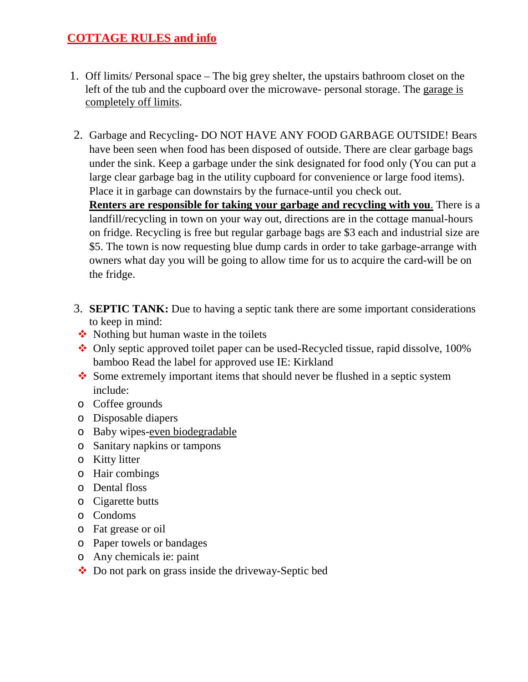- 1. Off limits/ Personal space The big grey shelter, the upstairs bathroom closet on the left of the tub and the cupboard over the microwave- personal storage. The garage is completely off limits.
- 2. Garbage and Recycling**-** DO NOT HAVE ANY FOOD GARBAGE OUTSIDE! Bears have been seen when food has been disposed of outside. There are clear garbage bags under the sink. Keep a garbage under the sink designated for food only (You can put a large clear garbage bag in the utility cupboard for convenience or large food items). Place it in garbage can downstairs by the furnace-until you check out.

**Renters are responsible for taking your garbage and recycling with you**. There is a landfill/recycling in town on your way out, directions are in the cottage manual-hours on fridge. Recycling is free but regular garbage bags are \$3 each and industrial size are \$5. The town is now requesting blue dump cards in order to take garbage-arrange with owners what day you will be going to allow time for us to acquire the card-will be on the fridge.

- 3. **SEPTIC TANK:** Due to having a septic tank there are some important considerations to keep in mind:
- $\triangle$  Nothing but human waste in the toilets
- Only septic approved toilet paper can be used-Recycled tissue, rapid dissolve, 100% bamboo Read the label for approved use IE: Kirkland
- Some extremely important items that should never be flushed in a septic system include:
- o Coffee grounds
- o Disposable diapers
- o Baby wipes-even biodegradable
- o Sanitary napkins or tampons
- o Kitty litter
- o Hair combings
- o Dental floss
- o Cigarette butts
- o Condoms
- o Fat grease or oil
- o Paper towels or bandages
- o Any chemicals ie: paint
- Do not park on grass inside the driveway-Septic bed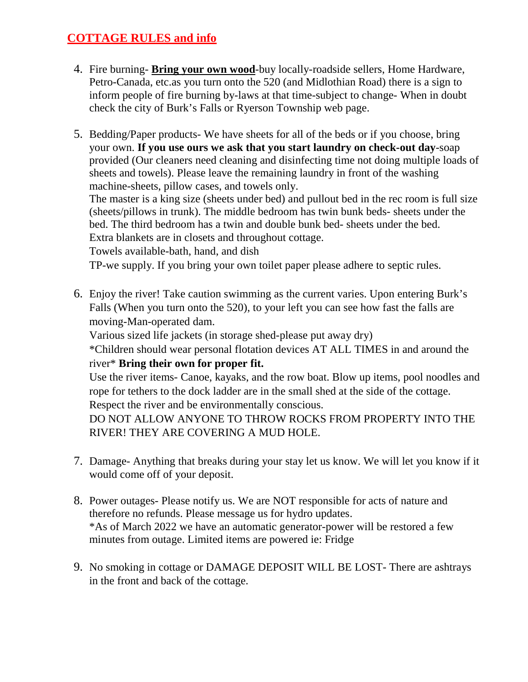- 4. Fire burning- **Bring your own wood**-buy locally-roadside sellers, Home Hardware, Petro-Canada, etc.as you turn onto the 520 (and Midlothian Road) there is a sign to inform people of fire burning by-laws at that time-subject to change- When in doubt check the city of Burk's Falls or Ryerson Township web page.
- 5. Bedding/Paper products- We have sheets for all of the beds or if you choose, bring your own. **If you use ours we ask that you start laundry on check-out day**-soap provided (Our cleaners need cleaning and disinfecting time not doing multiple loads of sheets and towels). Please leave the remaining laundry in front of the washing machine-sheets, pillow cases, and towels only.

The master is a king size (sheets under bed) and pullout bed in the rec room is full size (sheets/pillows in trunk). The middle bedroom has twin bunk beds- sheets under the bed. The third bedroom has a twin and double bunk bed- sheets under the bed. Extra blankets are in closets and throughout cottage.

Towels available-bath, hand, and dish

TP-we supply. If you bring your own toilet paper please adhere to septic rules.

6. Enjoy the river! Take caution swimming as the current varies. Upon entering Burk's Falls (When you turn onto the 520), to your left you can see how fast the falls are moving-Man-operated dam.

Various sized life jackets (in storage shed-please put away dry)

\*Children should wear personal flotation devices AT ALL TIMES in and around the river\* **Bring their own for proper fit.**

Use the river items- Canoe, kayaks, and the row boat. Blow up items, pool noodles and rope for tethers to the dock ladder are in the small shed at the side of the cottage. Respect the river and be environmentally conscious.

DO NOT ALLOW ANYONE TO THROW ROCKS FROM PROPERTY INTO THE RIVER! THEY ARE COVERING A MUD HOLE.

- 7. Damage- Anything that breaks during your stay let us know. We will let you know if it would come off of your deposit.
- 8. Power outages- Please notify us. We are NOT responsible for acts of nature and therefore no refunds. Please message us for hydro updates. \*As of March 2022 we have an automatic generator-power will be restored a few minutes from outage. Limited items are powered ie: Fridge
- 9. No smoking in cottage or DAMAGE DEPOSIT WILL BE LOST- There are ashtrays in the front and back of the cottage.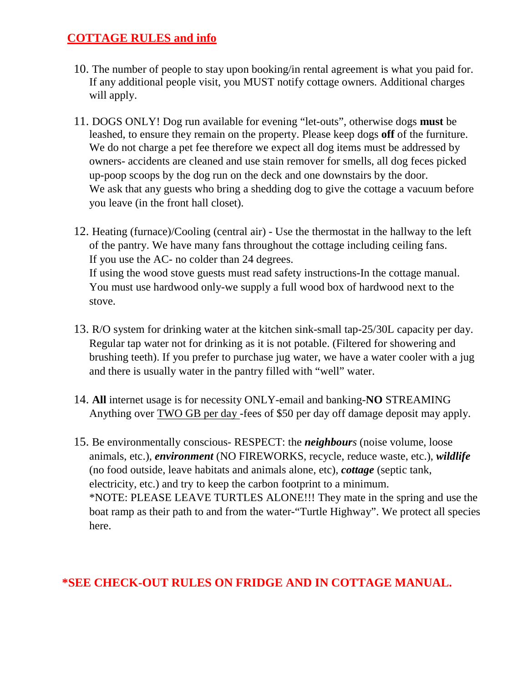- 10. The number of people to stay upon booking/in rental agreement is what you paid for. If any additional people visit, you MUST notify cottage owners. Additional charges will apply.
- 11. DOGS ONLY! Dog run available for evening "let-outs", otherwise dogs **must** be leashed, to ensure they remain on the property. Please keep dogs **off** of the furniture. We do not charge a pet fee therefore we expect all dog items must be addressed by owners- accidents are cleaned and use stain remover for smells, all dog feces picked up-poop scoops by the dog run on the deck and one downstairs by the door. We ask that any guests who bring a shedding dog to give the cottage a vacuum before you leave (in the front hall closet).
- 12. Heating (furnace)/Cooling (central air) Use the thermostat in the hallway to the left of the pantry. We have many fans throughout the cottage including ceiling fans. If you use the AC- no colder than 24 degrees. If using the wood stove guests must read safety instructions-In the cottage manual. You must use hardwood only-we supply a full wood box of hardwood next to the stove.
- 13. R/O system for drinking water at the kitchen sink-small tap-25/30L capacity per day. Regular tap water not for drinking as it is not potable. (Filtered for showering and brushing teeth). If you prefer to purchase jug water, we have a water cooler with a jug and there is usually water in the pantry filled with "well" water.
- 14. **All** internet usage is for necessity ONLY-email and banking-**NO** STREAMING Anything over TWO GB per day -fees of \$50 per day off damage deposit may apply.
- 15. Be environmentally conscious- RESPECT: the *neighbours* (noise volume, loose animals, etc.), *environment* (NO FIREWORKS, recycle, reduce waste, etc.), *wildlife* (no food outside, leave habitats and animals alone, etc), *cottage* (septic tank, electricity, etc.) and try to keep the carbon footprint to a minimum. \*NOTE: PLEASE LEAVE TURTLES ALONE!!! They mate in the spring and use the boat ramp as their path to and from the water-"Turtle Highway". We protect all species here.

# **\*SEE CHECK-OUT RULES ON FRIDGE AND IN COTTAGE MANUAL.**